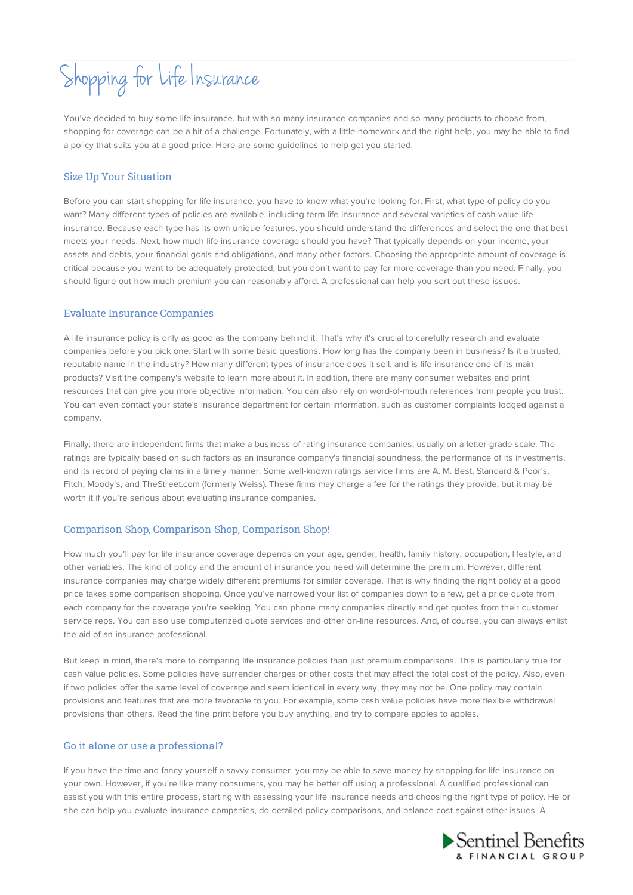# Shopping for Life Insurance

You've decided to buy some life insurance, but with so many insurance companies and so many products to choose from, shopping for coverage can be a bit of a challenge. Fortunately, with a little homework and the right help, you may be able to find a policy that suits you at a good price. Here are some guidelines to help get you started.

### Size Up Your Situation

Before you can start shopping for life insurance, you have to know what you're looking for. First, what type of policy do you want? Many different types of policies are available, including term life insurance and several varieties of cash value life insurance. Because each type has its own unique features, you should understand the differences and select the one that best meets your needs. Next, how much life insurance coverage should you have? That typically depends on your income, your assets and debts, your financial goals and obligations, and many other factors. Choosing the appropriate amount of coverage is critical because you want to be adequately protected, but you don't want to pay for more coverage than you need. Finally, you should figure out how much premium you can reasonably afford. A professional can help you sort out these issues.

#### Evaluate Insurance Companies

A life insurance policy is only as good as the company behind it. That's why it's crucial to carefully research and evaluate companies before you pick one. Start with some basic questions. How long has the company been in business? Is it a trusted, reputable name in the industry? How many different types of insurance does it sell, and is life insurance one of its main products? Visit the company's website to learn more about it. In addition, there are many consumer websites and print resources that can give you more objective information. You can also rely on word-of-mouth references from people you trust. You can even contact your state's insurance department for certain information, such as customer complaints lodged against a company.

Finally, there are independent firms that make a business of rating insurance companies, usually on a letter-grade scale. The ratings are typically based on such factors as an insurance company's financial soundness, the performance of its investments, and its record of paying claims in a timely manner. Some well-known ratings service firms are A. M. Best, Standard & Poor's, Fitch, Moody's, and TheStreet.com (formerly Weiss). These firms may charge a fee for the ratings they provide, but it may be worth it if you're serious about evaluating insurance companies.

# Comparison Shop, Comparison Shop, Comparison Shop!

How much you'll pay for life insurance coverage depends on your age, gender, health, family history, occupation, lifestyle, and other variables. The kind of policy and the amount of insurance you need will determine the premium. However, different insurance companies may charge widely different premiums for similar coverage. That is why finding the right policy at a good price takes some comparison shopping. Once you've narrowed your list of companies down to a few, get a price quote from each company for the coverage you're seeking. You can phone many companies directly and get quotes from their customer service reps. You can also use computerized quote services and other on-line resources. And, of course, you can always enlist the aid of an insurance professional.

But keep in mind, there's more to comparing life insurance policies than just premium comparisons. This is particularly true for cash value policies. Some policies have surrender charges or other costs that may affect the total cost of the policy. Also, even if two policies offer the same level of coverage and seem identical in every way, they may not be. One policy may contain provisions and features that are more favorable to you. For example, some cash value policies have more flexible withdrawal provisions than others. Read the fine print before you buy anything, and try to compare apples to apples.

#### Go it alone or use a professional?

If you have the time and fancy yourself a savvy consumer, you may be able to save money by shopping for life insurance on your own. However, if you're like many consumers, you may be better off using a professional. A qualified professional can assist you with this entire process, starting with assessing your life insurance needs and choosing the right type of policy. He or she can help you evaluate insurance companies, do detailed policy comparisons, and balance cost against other issues. A